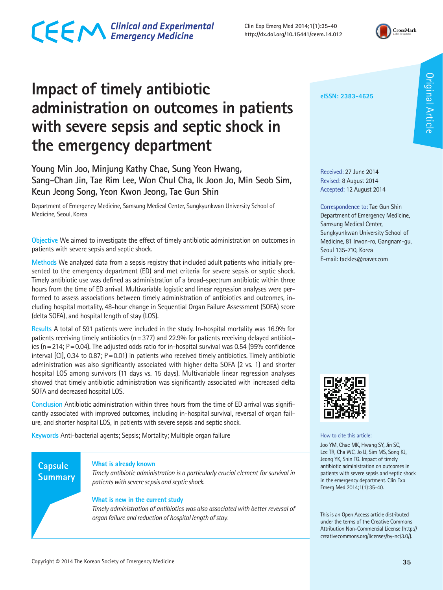**Impact of timely antibiotic administration on outcomes in patients with severe sepsis and septic shock in the emergency department**

**Young Min Joo, Minjung Kathy Chae, Sung Yeon Hwang, Sang-Chan Jin, Tae Rim Lee, Won Chul Cha, Ik Joon Jo, Min Seob Sim, Keun Jeong Song, Yeon Kwon Jeong, Tae Gun Shin**

Department of Emergency Medicine, Samsung Medical Center, Sungkyunkwan University School of Medicine, Seoul, Korea

**Objective** We aimed to investigate the effect of timely antibiotic administration on outcomes in patients with severe sepsis and septic shock.

**Methods** We analyzed data from a sepsis registry that included adult patients who initially presented to the emergency department (ED) and met criteria for severe sepsis or septic shock. Timely antibiotic use was defined as administration of a broad-spectrum antibiotic within three hours from the time of ED arrival. Multivariable logistic and linear regression analyses were performed to assess associations between timely administration of antibiotics and outcomes, including hospital mortality, 48-hour change in Sequential Organ Failure Assessment (SOFA) score (delta SOFA), and hospital length of stay (LOS).

**Results** A total of 591 patients were included in the study. In-hospital mortality was 16.9% for patients receiving timely antibiotics ( $n=377$ ) and 22.9% for patients receiving delayed antibiotics ( $n=214$ ;  $P=0.04$ ). The adjusted odds ratio for in-hospital survival was 0.54 (95% confidence interval  $\text{[Cl]}$ , 0.34 to 0.87; P=0.01) in patients who received timely antibiotics. Timely antibiotic administration was also significantly associated with higher delta SOFA (2 vs. 1) and shorter hospital LOS among survivors (11 days vs. 15 days). Multivariable linear regression analyses showed that timely antibiotic administration was significantly associated with increased delta SOFA and decreased hospital LOS.

**Conclusion** Antibiotic administration within three hours from the time of ED arrival was significantly associated with improved outcomes, including in-hospital survival, reversal of organ failure, and shorter hospital LOS, in patients with severe sepsis and septic shock.

**Keywords** Anti-bacterial agents; Sepsis; Mortality; Multiple organ failure

#### **Capsule Summary**

#### **What is already known**

*Timely antibiotic administration is a particularly crucial element for survival in patients with severe sepsis and septic shock.*

#### **What is new in the current study**

*Timely administration of antibiotics was also associated with better reversal of organ failure and reduction of hospital length of stay.*

**eISSN: 2383-4625**

**Clin Exp Emerg Med 2014;1(1):35-40 http://dx.doi.org/10.15441/ceem.14.012** 

> Received: 27 June 2014 Revised: 8 August 2014 Accepted: 12 August 2014

Correspondence to: Tae Gun Shin Department of Emergency Medicine, Samsung Medical Center, Sungkyunkwan University School of Medicine, 81 Irwon-ro, Gangnam-gu, Seoul 135-710, Korea E-mail: tackles@naver.com



How to cite this article:

Joo YM, Chae MK, Hwang SY, Jin SC, Lee TR, Cha WC, Jo IJ, Sim MS, Song KJ, Jeong YK, Shin TG. Impact of timely antibiotic administration on outcomes in patients with severe sepsis and septic shock in the emergency department. Clin Exp Emerg Med 2014;1(1):35-40.

This is an Open Access article distributed under the terms of the Creative Commons Attribution Non-Commercial License (http:// creativecommons.org/licenses/by-nc/3.0/).



Original Article

**Original Article**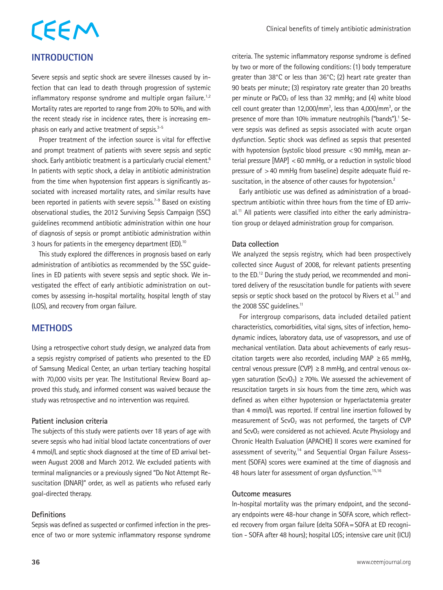# CEEM

#### **INTRODUCTION**

Severe sepsis and septic shock are severe illnesses caused by infection that can lead to death through progression of systemic inflammatory response syndrome and multiple organ failure.<sup>1,2</sup> Mortality rates are reported to range from 20% to 50%, and with the recent steady rise in incidence rates, there is increasing emphasis on early and active treatment of sepsis.<sup>3-5</sup>

Proper treatment of the infection source is vital for effective and prompt treatment of patients with severe sepsis and septic shock. Early antibiotic treatment is a particularly crucial element.<sup>6</sup> In patients with septic shock, a delay in antibiotic administration from the time when hypotension first appears is significantly associated with increased mortality rates, and similar results have been reported in patients with severe sepsis.<sup>7-9</sup> Based on existing observational studies, the 2012 Surviving Sepsis Campaign (SSC) guidelines recommend antibiotic administration within one hour of diagnosis of sepsis or prompt antibiotic administration within 3 hours for patients in the emergency department (ED).<sup>10</sup>

This study explored the differences in prognosis based on early administration of antibiotics as recommended by the SSC guidelines in ED patients with severe sepsis and septic shock. We investigated the effect of early antibiotic administration on outcomes by assessing in-hospital mortality, hospital length of stay (LOS), and recovery from organ failure.

#### **METHODS**

Using a retrospective cohort study design, we analyzed data from a sepsis registry comprised of patients who presented to the ED of Samsung Medical Center, an urban tertiary teaching hospital with 70,000 visits per year. The Institutional Review Board approved this study, and informed consent was waived because the study was retrospective and no intervention was required.

#### **Patient inclusion criteria**

The subjects of this study were patients over 18 years of age with severe sepsis who had initial blood lactate concentrations of over 4 mmol/L and septic shock diagnosed at the time of ED arrival between August 2008 and March 2012. We excluded patients with terminal malignancies or a previously signed "Do Not Attempt Resuscitation (DNAR)" order, as well as patients who refused early goal-directed therapy.

#### **Definitions**

Sepsis was defined as suspected or confirmed infection in the presence of two or more systemic inflammatory response syndrome criteria. The systemic inflammatory response syndrome is defined by two or more of the following conditions: (1) body temperature greater than 38°C or less than 36°C; (2) heart rate greater than 90 beats per minute; (3) respiratory rate greater than 20 breaths per minute or PaCO2 of less than 32 mmHg; and (4) white blood cell count greater than 12,000/mm<sup>3</sup>, less than 4,000/mm<sup>3</sup>, or the presence of more than 10% immature neutrophils ("bands").<sup>1</sup> Severe sepsis was defined as sepsis associated with acute organ dysfunction. Septic shock was defined as sepsis that presented with hypotension (systolic blood pressure <90 mmHg, mean arterial pressure  $[MAP] < 60$  mmHg, or a reduction in systolic blood pressure of >40 mmHg from baseline) despite adequate fluid resuscitation, in the absence of other causes for hypotension.<sup>2</sup>

Early antibiotic use was defined as administration of a broadspectrum antibiotic within three hours from the time of ED arriv $al^{11}$  All patients were classified into either the early administration group or delayed administration group for comparison.

#### **Data collection**

We analyzed the sepsis registry, which had been prospectively collected since August of 2008, for relevant patients presenting to the ED.12 During the study period, we recommended and monitored delivery of the resuscitation bundle for patients with severe sepsis or septic shock based on the protocol by Rivers et al.<sup>13</sup> and the 2008 SSC quidelines.<sup>11</sup>

For intergroup comparisons, data included detailed patient characteristics, comorbidities, vital signs, sites of infection, hemodynamic indices, laboratory data, use of vasopressors, and use of mechanical ventilation. Data about achievements of early resuscitation targets were also recorded, including MAP  $\geq$  65 mmHg, central venous pressure (CVP)  $\geq$  8 mmHg, and central venous oxygen saturation (ScvO<sub>2</sub>)  $\geq$  70%. We assessed the achievement of resuscitation targets in six hours from the time zero, which was defined as when either hypotension or hyperlactatemia greater than 4 mmol/L was reported. If central line insertion followed by measurement of ScvO<sub>2</sub> was not performed, the targets of CVP and ScvO<sub>2</sub> were considered as not achieved. Acute Physiology and Chronic Health Evaluation (APACHE) II scores were examined for assessment of severity,<sup>14</sup> and Sequential Organ Failure Assessment (SOFA) scores were examined at the time of diagnosis and 48 hours later for assessment of organ dysfunction.<sup>15,16</sup>

#### **Outcome measures**

In-hospital mortality was the primary endpoint, and the secondary endpoints were 48-hour change in SOFA score, which reflected recovery from organ failure (delta SOFA=SOFA at ED recognition - SOFA after 48 hours); hospital LOS; intensive care unit (ICU)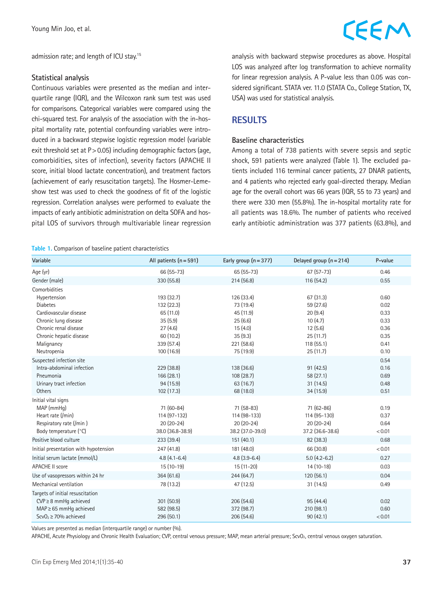admission rate; and length of ICU stay.15

#### **Statistical analysis**

Continuous variables were presented as the median and interquartile range (IQR), and the Wilcoxon rank sum test was used for comparisons. Categorical variables were compared using the chi-squared test. For analysis of the association with the in-hospital mortality rate, potential confounding variables were introduced in a backward stepwise logistic regression model (variable exit threshold set at  $P > 0.05$ ) including demographic factors (age, comorbidities, sites of infection), severity factors (APACHE II score, initial blood lactate concentration), and treatment factors (achievement of early resuscitation targets). The Hosmer-Lemeshow test was used to check the goodness of fit of the logistic regression. Correlation analyses were performed to evaluate the impacts of early antibiotic administration on delta SOFA and hospital LOS of survivors through multivariable linear regression

#### **Table 1.** Comparison of baseline patient characteristics

### CEEM

analysis with backward stepwise procedures as above. Hospital LOS was analyzed after log transformation to achieve normality for linear regression analysis. A P-value less than 0.05 was considered significant. STATA ver. 11.0 (STATA Co., College Station, TX, USA) was used for statistical analysis.

#### **RESULTS**

#### **Baseline characteristics**

Among a total of 738 patients with severe sepsis and septic shock, 591 patients were analyzed (Table 1). The excluded patients included 116 terminal cancer patients, 27 DNAR patients, and 4 patients who rejected early goal-directed therapy. Median age for the overall cohort was 66 years (IQR, 55 to 73 years) and there were 330 men (55.8%). The in-hospital mortality rate for all patients was 18.6%. The number of patients who received early antibiotic administration was 377 patients (63.8%), and

| Variable                              | All patients $(n = 591)$ | Early group $(n=377)$ | Delayed group $(n = 214)$ | P-value |
|---------------------------------------|--------------------------|-----------------------|---------------------------|---------|
| Age (yr)                              | 66 (55-73)               | $65(55-73)$           | $67(57-73)$               | 0.46    |
| Gender (male)                         | 330 (55.8)               | 214 (56.8)            | 116 (54.2)                | 0.55    |
| Comorbidities                         |                          |                       |                           |         |
| Hypertension                          | 193 (32.7)               | 126 (33.4)            | 67 (31.3)                 | 0.60    |
| <b>Diabetes</b>                       | 132 (22.3)               | 73 (19.4)             | 59 (27.6)                 | 0.02    |
| Cardiovascular disease                | 65 (11.0)                | 45 (11.9)             | 20(9.4)                   | 0.33    |
| Chronic lung disease                  | 35(5.9)                  | 25(6.6)               | 10(4.7)                   | 0.33    |
| Chronic renal disease                 | 27(4.6)                  | 15(4.0)               | 12(5.6)                   | 0.36    |
| Chronic hepatic disease               | 60 (10.2)                | 35(9.3)               | 25(11.7)                  | 0.35    |
| Malignancy                            | 339 (57.4)               | 221 (58.6)            | 118(55.1)                 | 0.41    |
| Neutropenia                           | 100 (16.9)               | 75 (19.9)             | 25(11.7)                  | 0.10    |
| Suspected infection site              |                          |                       |                           | 0.54    |
| Intra-abdominal infection             | 229 (38.8)               | 138 (36.6)            | 91(42.5)                  | 0.16    |
| Pneumonia                             | 166 (28.1)               | 108(28.7)             | 58(27.1)                  | 0.69    |
| Urinary tract infection               | 94 (15.9)                | 63 (16.7)             | 31(14.5)                  | 0.48    |
| <b>Others</b>                         | 102 (17.3)               | 68 (18.0)             | 34 (15.9)                 | 0.51    |
| Initial vital signs                   |                          |                       |                           |         |
| MAP (mmHg)                            | 71 (60-84)               | 71 (58-83)            | 71 (62-86)                | 0.19    |
| Heart rate (/min)                     | 114 (97-132)             | 114 (98-133)          | 114 (95-130)              | 0.37    |
| Respiratory rate (/min)               | $20(20-24)$              | $20(20-24)$           | $20(20-24)$               | 0.64    |
| Body temperature (°C)                 | 38.0 (36.8-38.9)         | 38.2 (37.0-39.0)      | 37.2 (36.6-38.6)          | < 0.01  |
| Positive blood culture                | 233 (39.4)               | 151(40.1)             | 82 (38.3)                 | 0.68    |
| Initial presentation with hypotension | 247 (41.8)               | 181 (48.0)            | 66 (30.8)                 | < 0.01  |
| Initial serum lactate (mmol/L)        | $4.8(4.1 - 6.4)$         | $4.8(3.9-6.4)$        | $5.0(4.2-6.2)$            | 0.27    |
| <b>APACHE II score</b>                | $15(10-19)$              | $15(11-20)$           | $14(10-18)$               | 0.03    |
| Use of vasopressors within 24 hr      | 364 (61.6)               | 244 (64.7)            | 120(56.1)                 | 0.04    |
| Mechanical ventilation                | 78 (13.2)                | 47 (12.5)             | 31 (14.5)                 | 0.49    |
| Targets of initial resuscitation      |                          |                       |                           |         |
| $CVP \geq 8$ mmHq achieved            | 301 (50.9)               | 206 (54.6)            | 95 (44.4)                 | 0.02    |
| $MAP \geq 65$ mmHg achieved           | 582 (98.5)               | 372 (98.7)            | 210 (98.1)                | 0.60    |
| $ScvO2 \ge 70%$ achieved              | 296 (50.1)               | 206 (54.6)            | 90(42.1)                  | < 0.01  |

Values are presented as median (interquartile range) or number (%).

APACHE, Acute Physiology and Chronic Health Evaluation; CVP, central venous pressure; MAP, mean arterial pressure; ScvO<sub>2</sub>, central venous oxygen saturation.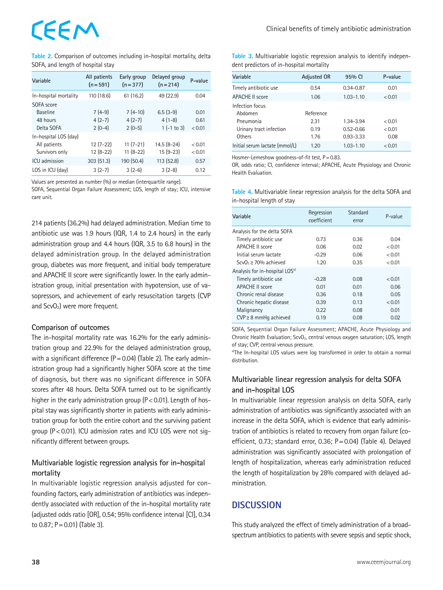## EEM

**Table 2.** Comparison of outcomes including in-hospital mortality, delta SOFA, and length of hospital stay

| Variable              | All patients<br>$(n = 591)$ | Early group<br>$(n=377)$ | Delayed group<br>$(n = 214)$ | P-value |
|-----------------------|-----------------------------|--------------------------|------------------------------|---------|
| In-hospital mortality | 110 (18.6)                  | 61(16.2)                 | 49 (22.9)                    | 0.04    |
| SOFA score            |                             |                          |                              |         |
| <b>Baseline</b>       | $7(4-9)$                    | $7(4-10)$                | $6.5(3-9)$                   | 0.01    |
| 48 hours              | $4(2-7)$                    | $4(2-7)$                 | $4(1-8)$                     | 0.61    |
| Delta SOFA            | $2(0-4)$                    | $2(0-5)$                 | $1(-1)$ to 3)                | < 0.01  |
| In-hospital LOS (day) |                             |                          |                              |         |
| All patients          | $12(7-22)$                  | $11(7-21)$               | 14.5 (8-24)                  | < 0.01  |
| Survivors only        | $12(8-22)$                  | $11(8-22)$               | $15(9-23)$                   | < 0.01  |
| ICU admission         | 303(51.3)                   | 190 (50.4)               | 113 (52.8)                   | 0.57    |
| LOS in ICU (day)      | $3(2-7)$                    | $3(2-6)$                 | $3(2-8)$                     | 0.12    |

Values are presented as number (%) or median (interquartile range).

SOFA, Sequential Organ Failure Assessment; LOS, length of stay; ICU, intensive care unit.

214 patients (36.2%) had delayed administration. Median time to antibiotic use was 1.9 hours (IQR, 1.4 to 2.4 hours) in the early administration group and 4.4 hours (IQR, 3.5 to 6.8 hours) in the delayed administration group. In the delayed administration group, diabetes was more frequent, and initial body temperature and APACHE II score were significantly lower. In the early administration group, initial presentation with hypotension, use of vasopressors, and achievement of early resuscitation targets (CVP and ScvO<sub>2</sub>) were more frequent.

#### **Comparison of outcomes**

The in-hospital mortality rate was 16.2% for the early administration group and 22.9% for the delayed administration group, with a significant difference  $(P=0.04)$  (Table 2). The early administration group had a significantly higher SOFA score at the time of diagnosis, but there was no significant difference in SOFA scores after 48 hours. Delta SOFA turned out to be significantly higher in the early administration group ( $P < 0.01$ ). Length of hospital stay was significantly shorter in patients with early administration group for both the entire cohort and the surviving patient group (P<0.01). ICU admission rates and ICU LOS were not significantly different between groups.

#### **Multivariable logistic regression analysis for in-hospital mortality**

In multivariable logistic regression analysis adjusted for confounding factors, early administration of antibiotics was independently associated with reduction of the in-hospital mortality rate (adjusted odds ratio [OR], 0.54; 95% confidence interval [CI], 0.34 to  $0.87$ ; P = 0.01) (Table 3).

**Table 3.** Multivariable logistic regression analysis to identify independent predictors of in-hospital mortality

| Variable                       | <b>Adjusted OR</b> | 95% CI        | P-value |
|--------------------------------|--------------------|---------------|---------|
| Timely antibiotic use          | 0.54               | $0.34 - 0.87$ | 0.01    |
| <b>APACHE II score</b>         | 1.06               | $1.03 - 1.10$ | < 0.01  |
| Infection focus                |                    |               |         |
| Abdomen                        | Reference          |               |         |
| Pneumonia                      | 2.31               | 1.34-3.94     | < 0.01  |
| Urinary tract infection        | 0.19               | $0.52 - 0.66$ | < 0.01  |
| Others                         | 1.76               | $0.93 - 3.33$ | 0.08    |
| Initial serum lactate (mmol/L) | 1.20               | $1.03 - 1.10$ | < 0.01  |

Hosmer-Lemeshow goodness-of-fit test, P = 0.83.

OR, odds ratio; CI, confidence interval; APACHE, Acute Physiology and Chronic Health Evaluation.

| Table 4. Multivariable linear regression analysis for the delta SOFA and |  |
|--------------------------------------------------------------------------|--|
| in-hospital length of stay                                               |  |

| Variable                                   | Regression<br>coefficient | Standard<br>error | P-value |
|--------------------------------------------|---------------------------|-------------------|---------|
| Analysis for the delta SOFA                |                           |                   |         |
| Timely antibiotic use                      | 0.73                      | 0.36              | 0.04    |
| <b>APACHE II score</b>                     | 0.06                      | 0.02              | < 0.01  |
| Initial serum lactate                      | $-0.29$                   | 0.06              | < 0.01  |
| $ScvO2 > 70%$ achieved                     | 1.20                      | 0.35              | < 0.01  |
| Analysis for in-hospital LOS <sup>a)</sup> |                           |                   |         |
| Timely antibiotic use                      | $-0.28$                   | 0.08              | < 0.01  |
| <b>APACHE II score</b>                     | 0.01                      | 0.01              | 0.06    |
| Chronic renal disease                      | 0.36                      | 0.18              | 0.05    |
| Chronic hepatic disease                    | 0.39                      | 0.13              | < 0.01  |
| Malignancy                                 | 0.22                      | 0.08              | 0.01    |
| $CVP \geq 8$ mmHq achieved                 | 0.19                      | 0.08              | 0.02    |

SOFA, Sequential Organ Failure Assessment; APACHE, Acute Physiology and Chronic Health Evaluation; ScvO<sub>2</sub>, central venous oxygen saturation; LOS, length of stay; CVP, central venous pressure.

a)The In-hospital LOS values were log transformed in order to obtain a normal distribution.

#### **Multivariable linear regression analysis for delta SOFA and in-hospital LOS**

In multivariable linear regression analysis on delta SOFA, early administration of antibiotics was significantly associated with an increase in the delta SOFA, which is evidence that early administration of antibiotics is related to recovery from organ failure (coefficient, 0.73; standard error, 0.36; P=0.04) (Table 4). Delayed administration was significantly associated with prolongation of length of hospitalization, whereas early administration reduced the length of hospitalization by 28% compared with delayed administration.

#### **DISCUSSION**

This study analyzed the effect of timely administration of a broadspectrum antibiotics to patients with severe sepsis and septic shock,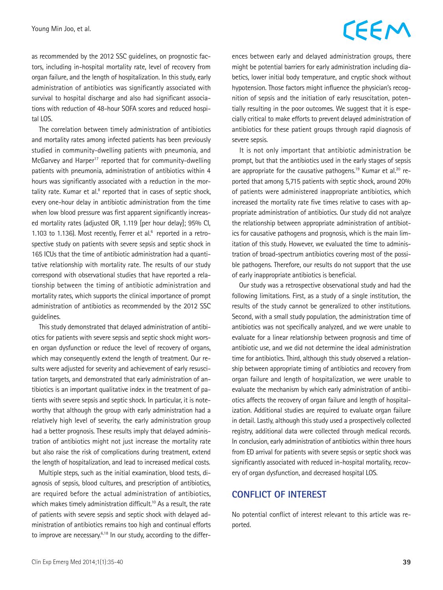### CEEM

as recommended by the 2012 SSC guidelines, on prognostic factors, including in-hospital mortality rate, level of recovery from organ failure, and the length of hospitalization. In this study, early administration of antibiotics was significantly associated with survival to hospital discharge and also had significant associations with reduction of 48-hour SOFA scores and reduced hospital LOS.

The correlation between timely administration of antibiotics and mortality rates among infected patients has been previously studied in community-dwelling patients with pneumonia, and McGarvey and Harper<sup>17</sup> reported that for community-dwelling patients with pneumonia, administration of antibiotics within 4 hours was significantly associated with a reduction in the mortality rate. Kumar et al.<sup>8</sup> reported that in cases of septic shock, every one-hour delay in antibiotic administration from the time when low blood pressure was first apparent significantly increased mortality rates (adjusted OR, 1.119 [per hour delay]; 95% CI, 1.103 to 1.136). Most recently, Ferrer et al. $6$  reported in a retrospective study on patients with severe sepsis and septic shock in 165 ICUs that the time of antibiotic administration had a quantitative relationship with mortality rate. The results of our study correspond with observational studies that have reported a relationship between the timing of antibiotic administration and mortality rates, which supports the clinical importance of prompt administration of antibiotics as recommended by the 2012 SSC guidelines.

This study demonstrated that delayed administration of antibiotics for patients with severe sepsis and septic shock might worsen organ dysfunction or reduce the level of recovery of organs, which may consequently extend the length of treatment. Our results were adjusted for severity and achievement of early resuscitation targets, and demonstrated that early administration of antibiotics is an important qualitative index in the treatment of patients with severe sepsis and septic shock. In particular, it is noteworthy that although the group with early administration had a relatively high level of severity, the early administration group had a better prognosis. These results imply that delayed administration of antibiotics might not just increase the mortality rate but also raise the risk of complications during treatment, extend the length of hospitalization, and lead to increased medical costs.

Multiple steps, such as the initial examination, blood tests, diagnosis of sepsis, blood cultures, and prescription of antibiotics, are required before the actual administration of antibiotics, which makes timely administration difficult.<sup>10</sup> As a result, the rate of patients with severe sepsis and septic shock with delayed administration of antibiotics remains too high and continual efforts to improve are necessary.<sup>6,18</sup> In our study, according to the differences between early and delayed administration groups, there might be potential barriers for early administration including diabetics, lower initial body temperature, and cryptic shock without hypotension. Those factors might influence the physician's recognition of sepsis and the initiation of early resuscitation, potentially resulting in the poor outcomes. We suggest that it is especially critical to make efforts to prevent delayed administration of antibiotics for these patient groups through rapid diagnosis of severe sepsis.

It is not only important that antibiotic administration be prompt, but that the antibiotics used in the early stages of sepsis are appropriate for the causative pathogens.<sup>19</sup> Kumar et al.<sup>20</sup> reported that among 5,715 patients with septic shock, around 20% of patients were administered inappropriate antibiotics, which increased the mortality rate five times relative to cases with appropriate administration of antibiotics. Our study did not analyze the relationship between appropriate administration of antibiotics for causative pathogens and prognosis, which is the main limitation of this study. However, we evaluated the time to administration of broad-spectrum antibiotics covering most of the possible pathogens. Therefore, our results do not support that the use of early inappropriate antibiotics is beneficial.

Our study was a retrospective observational study and had the following limitations. First, as a study of a single institution, the results of the study cannot be generalized to other institutions. Second, with a small study population, the administration time of antibiotics was not specifically analyzed, and we were unable to evaluate for a linear relationship between prognosis and time of antibiotic use, and we did not determine the ideal administration time for antibiotics. Third, although this study observed a relationship between appropriate timing of antibiotics and recovery from organ failure and length of hospitalization, we were unable to evaluate the mechanism by which early administration of antibiotics affects the recovery of organ failure and length of hospitalization. Additional studies are required to evaluate organ failure in detail. Lastly, although this study used a prospectively collected registry, additional data were collected through medical records. In conclusion, early administration of antibiotics within three hours from ED arrival for patients with severe sepsis or septic shock was significantly associated with reduced in-hospital mortality, recovery of organ dysfunction, and decreased hospital LOS.

#### **CONFLICT OF INTEREST**

No potential conflict of interest relevant to this article was reported.